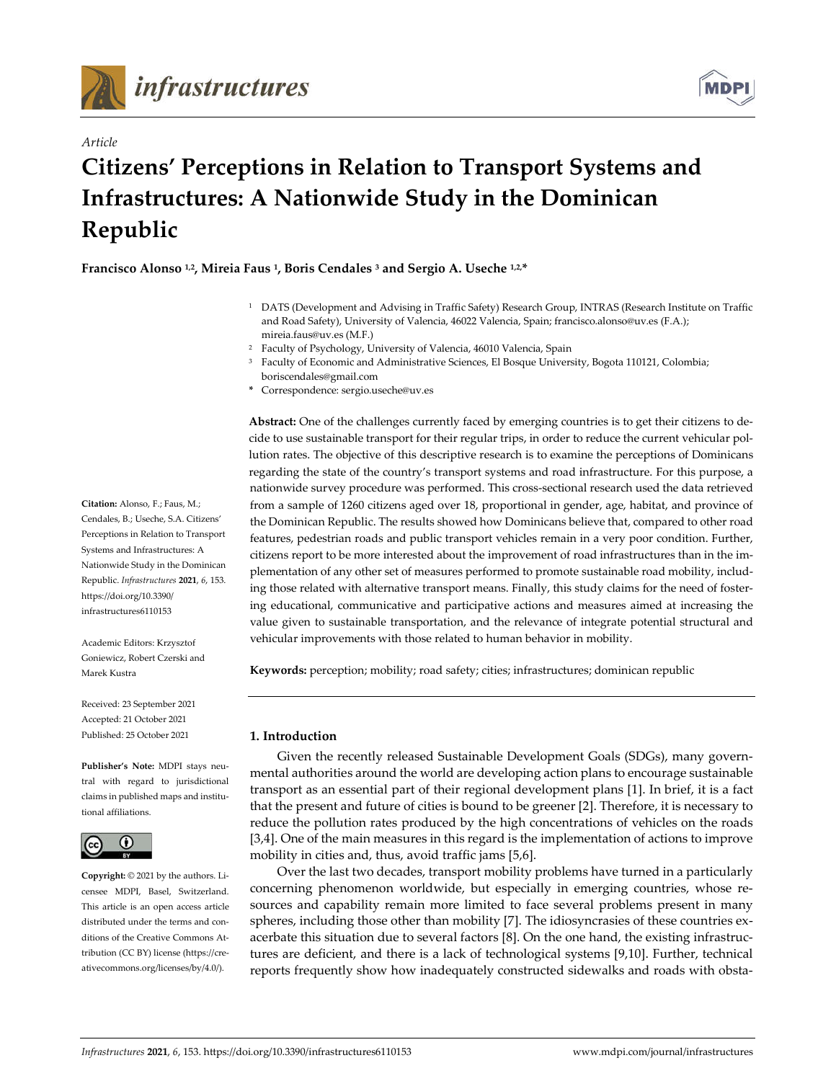

*Article*



# **Citizens' Perceptions in Relation to Transport Systems and Infrastructures: A Nationwide Study in the Dominican Republic**

**Francisco Alonso 1,2, Mireia Faus 1, Boris Cendales 3 and Sergio A. Useche 1,2,\***

- <sup>1</sup> DATS (Development and Advising in Traffic Safety) Research Group, INTRAS (Research Institute on Traffic and Road Safety), University of Valencia, 46022 Valencia, Spain; francisco.alonso@uv.es (F.A.); mireia.faus@uv.es (M.F.)
- <sup>2</sup> Faculty of Psychology, University of Valencia, 46010 Valencia, Spain
- <sup>3</sup> Faculty of Economic and Administrative Sciences, El Bosque University, Bogota 110121, Colombia; boriscendales@gmail.com
- **\*** Correspondence: sergio.useche@uv.es

**Abstract:** One of the challenges currently faced by emerging countries is to get their citizens to decide to use sustainable transport for their regular trips, in order to reduce the current vehicular pollution rates. The objective of this descriptive research is to examine the perceptions of Dominicans regarding the state of the country's transport systems and road infrastructure. For this purpose, a nationwide survey procedure was performed. This cross-sectional research used the data retrieved from a sample of 1260 citizens aged over 18, proportional in gender, age, habitat, and province of the Dominican Republic. The results showed how Dominicans believe that, compared to other road features, pedestrian roads and public transport vehicles remain in a very poor condition. Further, citizens report to be more interested about the improvement of road infrastructures than in the implementation of any other set of measures performed to promote sustainable road mobility, including those related with alternative transport means. Finally, this study claims for the need of fostering educational, communicative and participative actions and measures aimed at increasing the value given to sustainable transportation, and the relevance of integrate potential structural and vehicular improvements with those related to human behavior in mobility.

**Keywords:** perception; mobility; road safety; cities; infrastructures; dominican republic

# **1. Introduction**

Given the recently released Sustainable Development Goals (SDGs), many governmental authorities around the world are developing action plans to encourage sustainable transport as an essential part of their regional development plans [1]. In brief, it is a fact that the present and future of cities is bound to be greener [2]. Therefore, it is necessary to reduce the pollution rates produced by the high concentrations of vehicles on the roads [3,4]. One of the main measures in this regard is the implementation of actions to improve mobility in cities and, thus, avoid traffic jams [5,6].

Over the last two decades, transport mobility problems have turned in a particularly concerning phenomenon worldwide, but especially in emerging countries, whose resources and capability remain more limited to face several problems present in many spheres, including those other than mobility [7]. The idiosyncrasies of these countries exacerbate this situation due to several factors [8]. On the one hand, the existing infrastructures are deficient, and there is a lack of technological systems [9,10]. Further, technical reports frequently show how inadequately constructed sidewalks and roads with obsta-

**Citation:** Alonso, F.; Faus, M.; Cendales, B.; Useche, S.A. Citizens' Perceptions in Relation to Transport Systems and Infrastructures: A Nationwide Study in the Dominican Republic. *Infrastructures* **2021**, *6*, 153. https://doi.org/10.3390/ infrastructures6110153

Academic Editors: Krzysztof Goniewicz, Robert Czerski and Marek Kustra

Received: 23 September 2021 Accepted: 21 October 2021 Published: 25 October 2021

**Publisher's Note:** MDPI stays neutral with regard to jurisdictional claims in published maps and institutional affiliations.



**Copyright:** © 2021 by the authors. Licensee MDPI, Basel, Switzerland. This article is an open access article distributed under the terms and conditions of the Creative Commons Attribution (CC BY) license (https://creativecommons.org/licenses/by/4.0/).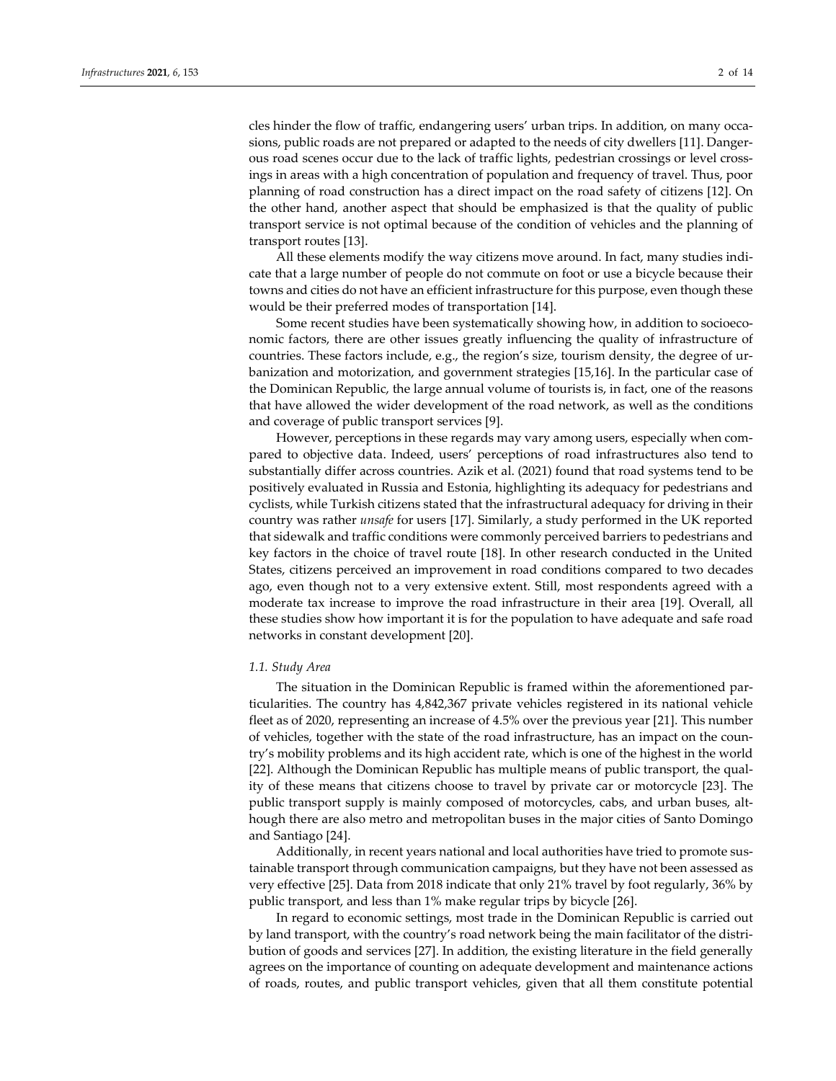cles hinder the flow of traffic, endangering users' urban trips. In addition, on many occasions, public roads are not prepared or adapted to the needs of city dwellers [11]. Dangerous road scenes occur due to the lack of traffic lights, pedestrian crossings or level crossings in areas with a high concentration of population and frequency of travel. Thus, poor planning of road construction has a direct impact on the road safety of citizens [12]. On the other hand, another aspect that should be emphasized is that the quality of public transport service is not optimal because of the condition of vehicles and the planning of transport routes [13].

All these elements modify the way citizens move around. In fact, many studies indicate that a large number of people do not commute on foot or use a bicycle because their towns and cities do not have an efficient infrastructure for this purpose, even though these would be their preferred modes of transportation [14].

Some recent studies have been systematically showing how, in addition to socioeconomic factors, there are other issues greatly influencing the quality of infrastructure of countries. These factors include, e.g., the region's size, tourism density, the degree of urbanization and motorization, and government strategies [15,16]. In the particular case of the Dominican Republic, the large annual volume of tourists is, in fact, one of the reasons that have allowed the wider development of the road network, as well as the conditions and coverage of public transport services [9].

However, perceptions in these regards may vary among users, especially when compared to objective data. Indeed, users' perceptions of road infrastructures also tend to substantially differ across countries. Azik et al. (2021) found that road systems tend to be positively evaluated in Russia and Estonia, highlighting its adequacy for pedestrians and cyclists, while Turkish citizens stated that the infrastructural adequacy for driving in their country was rather *unsafe* for users [17]. Similarly, a study performed in the UK reported that sidewalk and traffic conditions were commonly perceived barriers to pedestrians and key factors in the choice of travel route [18]. In other research conducted in the United States, citizens perceived an improvement in road conditions compared to two decades ago, even though not to a very extensive extent. Still, most respondents agreed with a moderate tax increase to improve the road infrastructure in their area [19]. Overall, all these studies show how important it is for the population to have adequate and safe road networks in constant development [20].

#### *1.1. Study Area*

The situation in the Dominican Republic is framed within the aforementioned particularities. The country has 4,842,367 private vehicles registered in its national vehicle fleet as of 2020, representing an increase of 4.5% over the previous year [21]. This number of vehicles, together with the state of the road infrastructure, has an impact on the country's mobility problems and its high accident rate, which is one of the highest in the world [22]. Although the Dominican Republic has multiple means of public transport, the quality of these means that citizens choose to travel by private car or motorcycle [23]. The public transport supply is mainly composed of motorcycles, cabs, and urban buses, although there are also metro and metropolitan buses in the major cities of Santo Domingo and Santiago [24].

Additionally, in recent years national and local authorities have tried to promote sustainable transport through communication campaigns, but they have not been assessed as very effective [25]. Data from 2018 indicate that only 21% travel by foot regularly, 36% by public transport, and less than 1% make regular trips by bicycle [26].

In regard to economic settings, most trade in the Dominican Republic is carried out by land transport, with the country's road network being the main facilitator of the distribution of goods and services [27]. In addition, the existing literature in the field generally agrees on the importance of counting on adequate development and maintenance actions of roads, routes, and public transport vehicles, given that all them constitute potential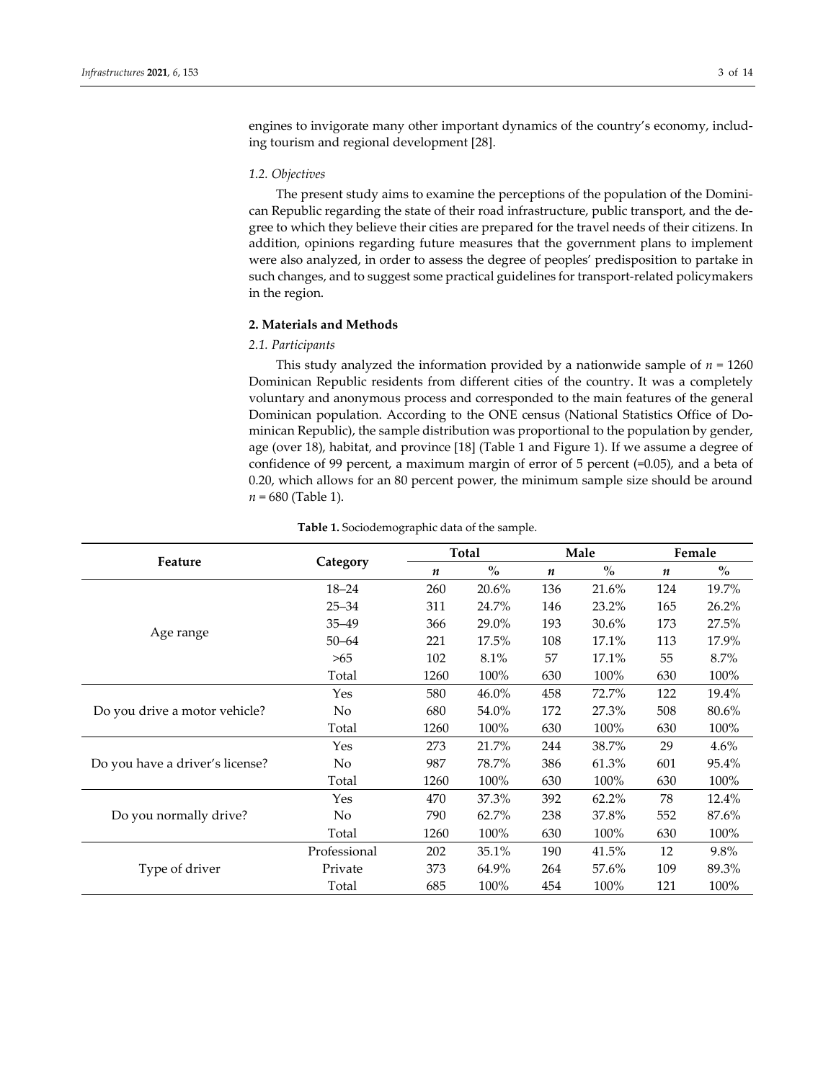engines to invigorate many other important dynamics of the country's economy, including tourism and regional development [28].

#### *1.2. Objectives*

The present study aims to examine the perceptions of the population of the Dominican Republic regarding the state of their road infrastructure, public transport, and the degree to which they believe their cities are prepared for the travel needs of their citizens. In addition, opinions regarding future measures that the government plans to implement were also analyzed, in order to assess the degree of peoples' predisposition to partake in such changes, and to suggest some practical guidelines for transport-related policymakers in the region.

## **2. Materials and Methods**

#### *2.1. Participants*

This study analyzed the information provided by a nationwide sample of  $n = 1260$ Dominican Republic residents from different cities of the country. It was a completely voluntary and anonymous process and corresponded to the main features of the general Dominican population. According to the ONE census (National Statistics Office of Dominican Republic), the sample distribution was proportional to the population by gender, age (over 18), habitat, and province [18] (Table 1 and Figure 1). If we assume a degree of confidence of 99 percent, a maximum margin of error of 5 percent (=0.05), and a beta of 0.20, which allows for an 80 percent power, the minimum sample size should be around  $n = 680$  (Table 1).

|                                 | Category     |      | Total                              |     | Male                               | Female |                                    |
|---------------------------------|--------------|------|------------------------------------|-----|------------------------------------|--------|------------------------------------|
| Feature                         |              | n    | $\mathbf{0}_{\mathbf{0}}^{\prime}$ | n   | $\mathbf{0}_{\mathbf{0}}^{\prime}$ | n      | $\mathbf{0}_{\mathbf{0}}^{\prime}$ |
| Age range                       | $18 - 24$    | 260  | 20.6%                              | 136 | 21.6%                              | 124    | 19.7%                              |
|                                 | $25 - 34$    | 311  | 24.7%                              | 146 | 23.2%                              | 165    | 26.2%                              |
|                                 | $35 - 49$    | 366  | 29.0%                              | 193 | 30.6%                              | 173    | 27.5%                              |
|                                 | $50 - 64$    | 221  | 17.5%                              | 108 | 17.1%                              | 113    | 17.9%                              |
|                                 | >65          | 102  | 8.1%                               | 57  | 17.1%                              | 55     | 8.7%                               |
|                                 | Total        | 1260 | 100%                               | 630 | 100%                               | 630    | 100%                               |
| Do you drive a motor vehicle?   | Yes          | 580  | 46.0%                              | 458 | 72.7%                              | 122    | 19.4%                              |
|                                 | No           | 680  | 54.0%                              | 172 | 27.3%                              | 508    | 80.6%                              |
|                                 | Total        | 1260 | 100%                               | 630 | 100%                               | 630    | 100%                               |
| Do you have a driver's license? | Yes          | 273  | 21.7%                              | 244 | 38.7%                              | 29     | 4.6%                               |
|                                 | No           | 987  | 78.7%                              | 386 | 61.3%                              | 601    | 95.4%                              |
|                                 | Total        | 1260 | 100%                               | 630 | 100%                               | 630    | 100%                               |
| Do you normally drive?          | Yes          | 470  | 37.3%                              | 392 | 62.2%                              | 78     | 12.4%                              |
|                                 | No           | 790  | 62.7%                              | 238 | 37.8%                              | 552    | 87.6%                              |
|                                 | Total        | 1260 | 100%                               | 630 | 100%                               | 630    | 100%                               |
| Type of driver                  | Professional | 202  | 35.1%                              | 190 | 41.5%                              | 12     | 9.8%                               |
|                                 | Private      | 373  | 64.9%                              | 264 | 57.6%                              | 109    | 89.3%                              |
|                                 | Total        | 685  | 100%                               | 454 | 100%                               | 121    | 100%                               |

#### **Table 1.** Sociodemographic data of the sample.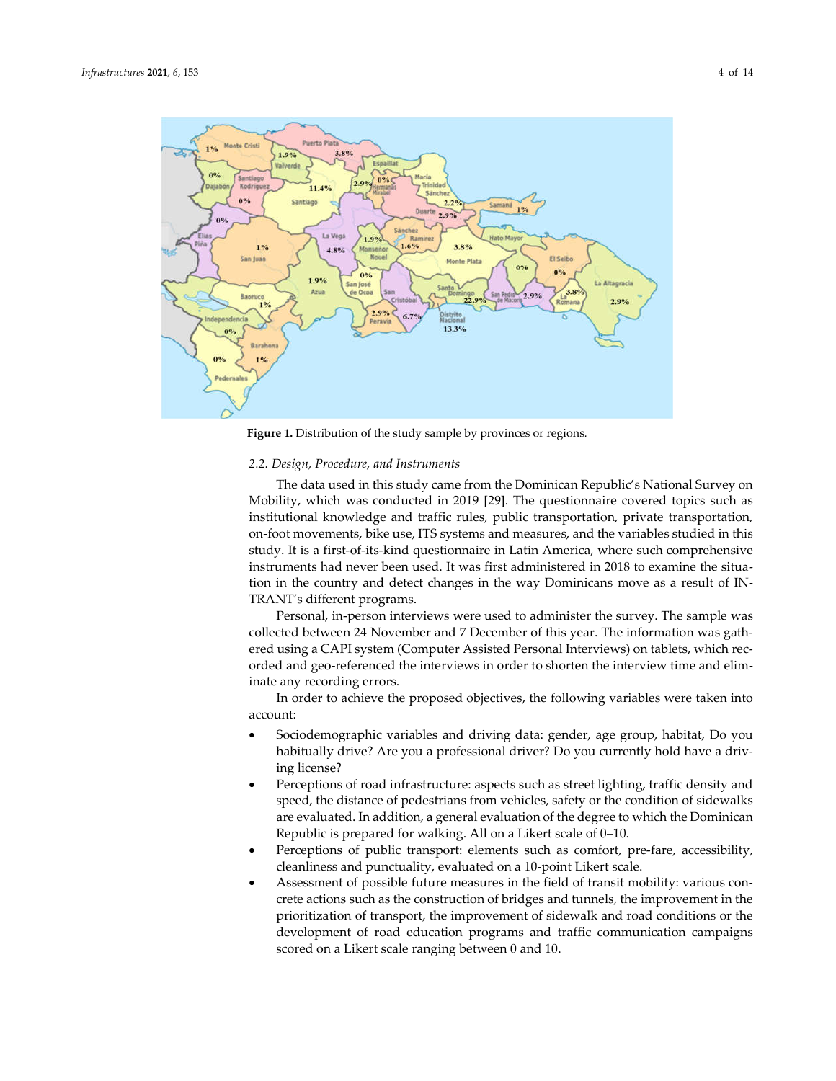

**Figure 1.** Distribution of the study sample by provinces or regions*.*

#### *2.2. Design, Procedure, and Instruments*

The data used in this study came from the Dominican Republic's National Survey on Mobility, which was conducted in 2019 [29]. The questionnaire covered topics such as institutional knowledge and traffic rules, public transportation, private transportation, on-foot movements, bike use, ITS systems and measures, and the variables studied in this study. It is a first-of-its-kind questionnaire in Latin America, where such comprehensive instruments had never been used. It was first administered in 2018 to examine the situation in the country and detect changes in the way Dominicans move as a result of IN-TRANT's different programs.

Personal, in-person interviews were used to administer the survey. The sample was collected between 24 November and 7 December of this year. The information was gathered using a CAPI system (Computer Assisted Personal Interviews) on tablets, which recorded and geo-referenced the interviews in order to shorten the interview time and eliminate any recording errors.

In order to achieve the proposed objectives, the following variables were taken into account:

- Sociodemographic variables and driving data: gender, age group, habitat, Do you habitually drive? Are you a professional driver? Do you currently hold have a driving license?
- Perceptions of road infrastructure: aspects such as street lighting, traffic density and speed, the distance of pedestrians from vehicles, safety or the condition of sidewalks are evaluated. In addition, a general evaluation of the degree to which the Dominican Republic is prepared for walking. All on a Likert scale of 0–10.
- Perceptions of public transport: elements such as comfort, pre-fare, accessibility, cleanliness and punctuality, evaluated on a 10-point Likert scale.
- Assessment of possible future measures in the field of transit mobility: various concrete actions such as the construction of bridges and tunnels, the improvement in the prioritization of transport, the improvement of sidewalk and road conditions or the development of road education programs and traffic communication campaigns scored on a Likert scale ranging between 0 and 10.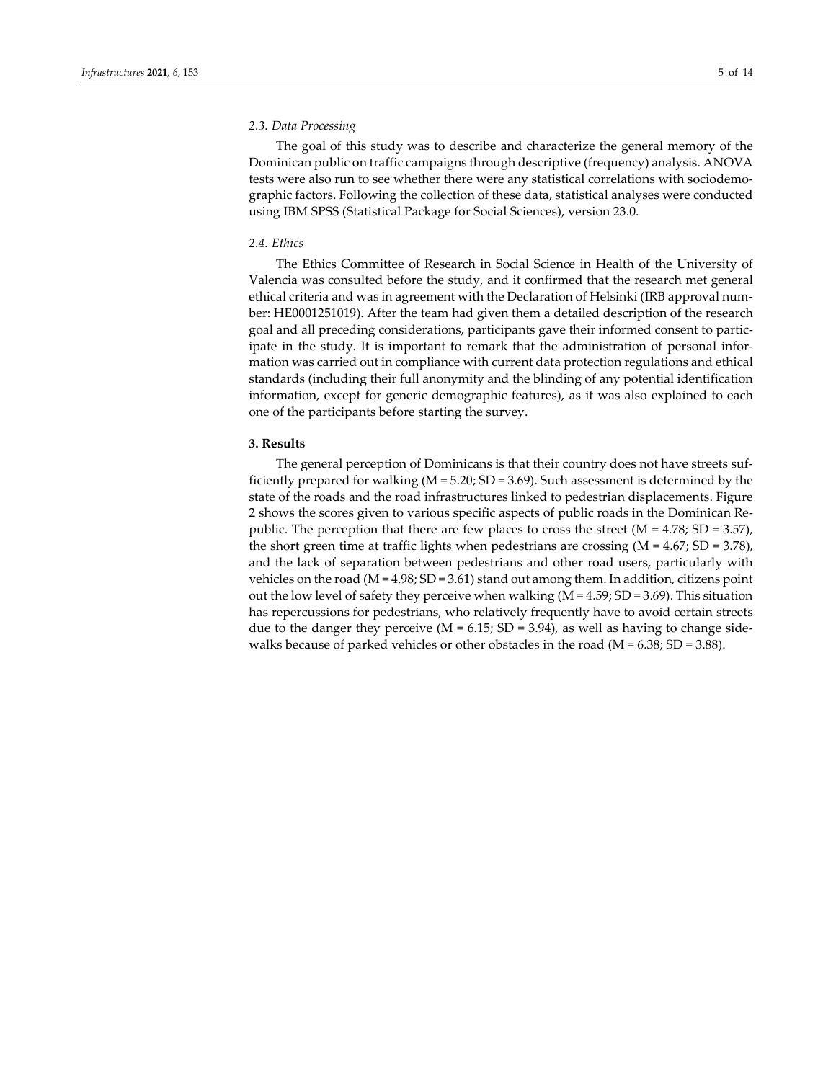# *2.3. Data Processing*

The goal of this study was to describe and characterize the general memory of the Dominican public on traffic campaigns through descriptive (frequency) analysis. ANOVA tests were also run to see whether there were any statistical correlations with sociodemographic factors. Following the collection of these data, statistical analyses were conducted using IBM SPSS (Statistical Package for Social Sciences), version 23.0.

#### *2.4. Ethics*

The Ethics Committee of Research in Social Science in Health of the University of Valencia was consulted before the study, and it confirmed that the research met general ethical criteria and was in agreement with the Declaration of Helsinki (IRB approval number: HE0001251019). After the team had given them a detailed description of the research goal and all preceding considerations, participants gave their informed consent to participate in the study. It is important to remark that the administration of personal information was carried out in compliance with current data protection regulations and ethical standards (including their full anonymity and the blinding of any potential identification information, except for generic demographic features), as it was also explained to each one of the participants before starting the survey.

## **3. Results**

The general perception of Dominicans is that their country does not have streets sufficiently prepared for walking (M = 5.20; SD = 3.69). Such assessment is determined by the state of the roads and the road infrastructures linked to pedestrian displacements. Figure 2 shows the scores given to various specific aspects of public roads in the Dominican Republic. The perception that there are few places to cross the street  $(M = 4.78; SD = 3.57)$ , the short green time at traffic lights when pedestrians are crossing  $(M = 4.67; SD = 3.78)$ , and the lack of separation between pedestrians and other road users, particularly with vehicles on the road ( $M = 4.98$ ; SD = 3.61) stand out among them. In addition, citizens point out the low level of safety they perceive when walking  $(M = 4.59; SD = 3.69)$ . This situation has repercussions for pedestrians, who relatively frequently have to avoid certain streets due to the danger they perceive ( $M = 6.15$ ;  $SD = 3.94$ ), as well as having to change sidewalks because of parked vehicles or other obstacles in the road ( $M = 6.38$ ; SD = 3.88).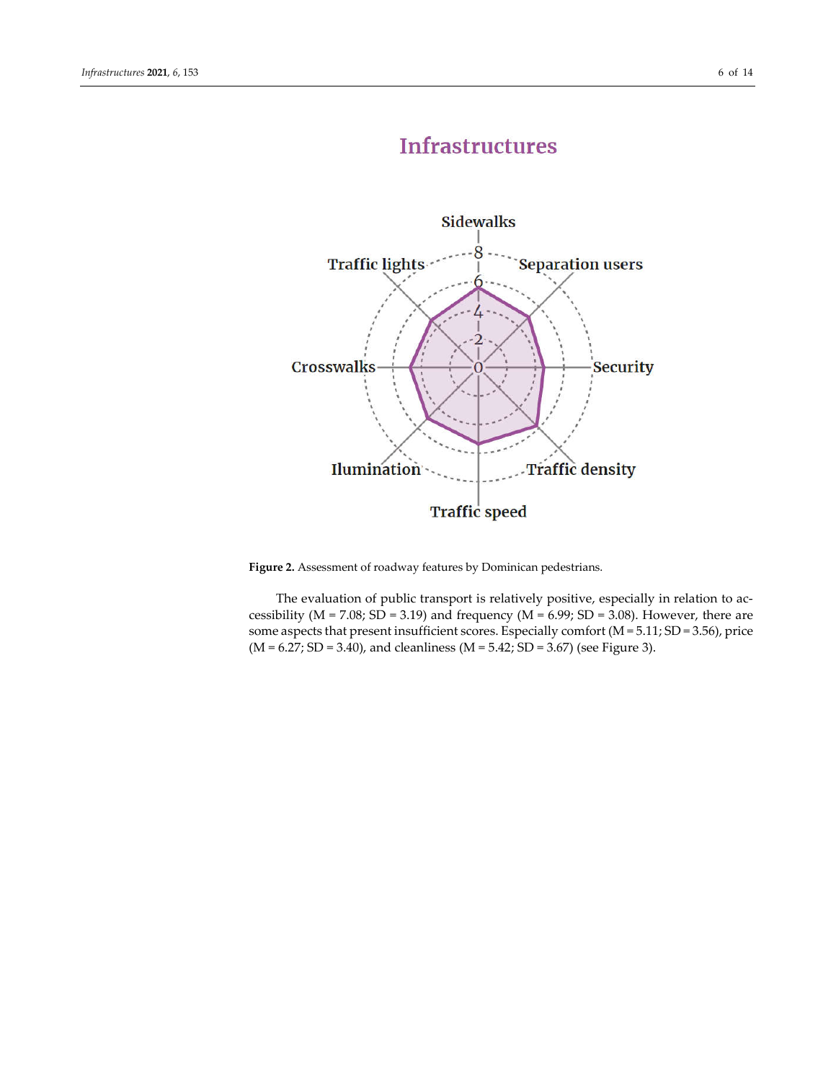# **Infrastructures**



**Figure 2.** Assessment of roadway features by Dominican pedestrians.

The evaluation of public transport is relatively positive, especially in relation to accessibility ( $M = 7.08$ ;  $SD = 3.19$ ) and frequency ( $M = 6.99$ ;  $SD = 3.08$ ). However, there are some aspects that present insufficient scores. Especially comfort (M = 5.11; SD = 3.56), price  $(M = 6.27; SD = 3.40)$ , and cleanliness  $(M = 5.42; SD = 3.67)$  (see Figure 3).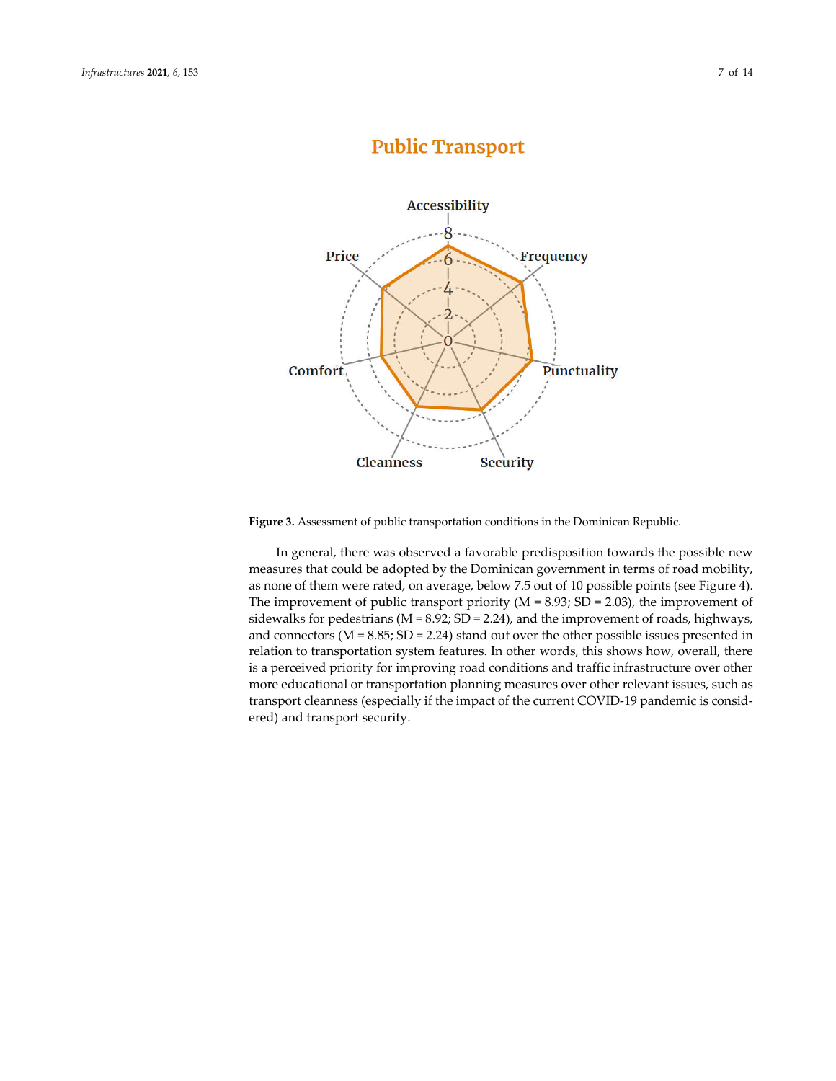# **Public Transport**



**Figure 3.** Assessment of public transportation conditions in the Dominican Republic.

In general, there was observed a favorable predisposition towards the possible new measures that could be adopted by the Dominican government in terms of road mobility, as none of them were rated, on average, below 7.5 out of 10 possible points (see Figure 4). The improvement of public transport priority ( $M = 8.93$ ; SD = 2.03), the improvement of sidewalks for pedestrians ( $M = 8.92$ ;  $SD = 2.24$ ), and the improvement of roads, highways, and connectors ( $M = 8.85$ ;  $SD = 2.24$ ) stand out over the other possible issues presented in relation to transportation system features. In other words, this shows how, overall, there is a perceived priority for improving road conditions and traffic infrastructure over other more educational or transportation planning measures over other relevant issues, such as transport cleanness (especially if the impact of the current COVID-19 pandemic is considered) and transport security.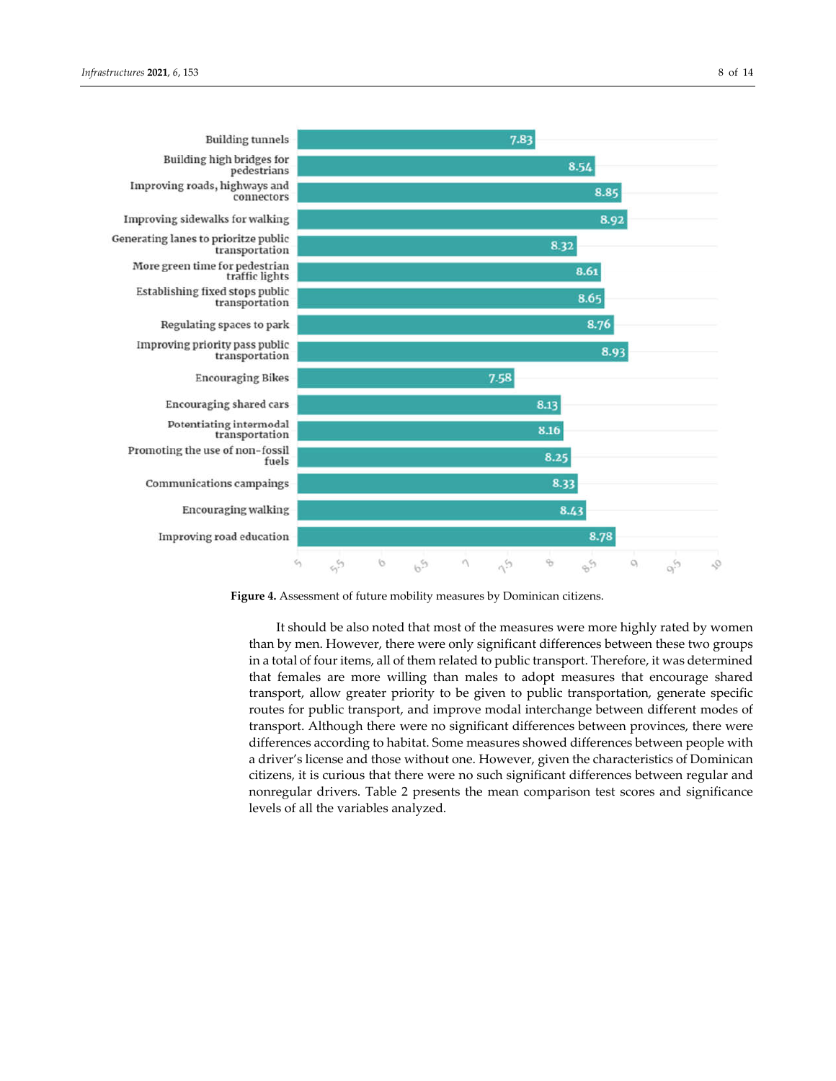



**Figure 4.** Assessment of future mobility measures by Dominican citizens.

It should be also noted that most of the measures were more highly rated by women than by men. However, there were only significant differences between these two groups in a total of four items, all of them related to public transport. Therefore, it was determined that females are more willing than males to adopt measures that encourage shared transport, allow greater priority to be given to public transportation, generate specific routes for public transport, and improve modal interchange between different modes of transport. Although there were no significant differences between provinces, there were differences according to habitat. Some measures showed differences between people with a driver's license and those without one. However, given the characteristics of Dominican citizens, it is curious that there were no such significant differences between regular and nonregular drivers. Table 2 presents the mean comparison test scores and significance levels of all the variables analyzed.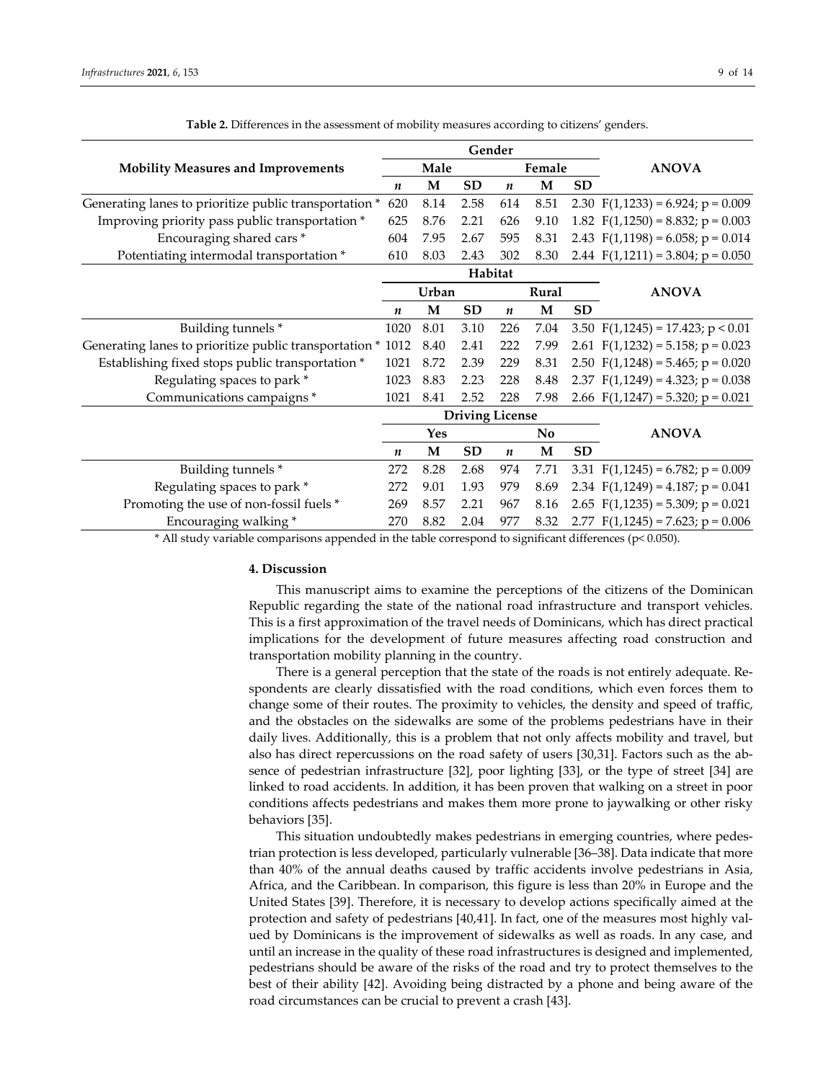| Gender                                                      |                        |                       |           |                  |              |              |                                        |  |
|-------------------------------------------------------------|------------------------|-----------------------|-----------|------------------|--------------|--------------|----------------------------------------|--|
| <b>Mobility Measures and Improvements</b>                   |                        | Male                  |           |                  | Female       |              | <b>ANOVA</b>                           |  |
|                                                             | n                      | M                     | <b>SD</b> | $\boldsymbol{n}$ | M            | <b>SD</b>    |                                        |  |
| Generating lanes to prioritize public transportation *      |                        | 8.14                  | 2.58      | 614              | 8.51         |              | 2.30 $F(1,1233) = 6.924$ ; $p = 0.009$ |  |
| Improving priority pass public transportation *             |                        | 8.76                  | 2.21      | 626              | 9.10         |              | 1.82 $F(1,1250) = 8.832$ ; $p = 0.003$ |  |
| Encouraging shared cars*                                    |                        | 7.95                  | 2.67      | 595              | 8.31         |              | 2.43 $F(1,1198) = 6.058$ ; $p = 0.014$ |  |
| Potentiating intermodal transportation *                    | 610                    | 8.03                  | 2.43      | 302              | 8.30         |              | 2.44 $F(1,1211) = 3.804$ ; $p = 0.050$ |  |
|                                                             |                        | Habitat               |           |                  |              |              |                                        |  |
|                                                             | Urban                  |                       |           | Rural            |              | <b>ANOVA</b> |                                        |  |
|                                                             | $\boldsymbol{n}$       | M                     | <b>SD</b> | $\boldsymbol{n}$ | M            | <b>SD</b>    |                                        |  |
| Building tunnels *                                          |                        | 8.01                  | 3.10      | 226              | 7.04         |              | 3.50 $F(1,1245) = 17.423$ ; $p < 0.01$ |  |
| Generating lanes to prioritize public transportation * 1012 |                        | 8.40                  | 2.41      | 222              | 7.99         |              | 2.61 $F(1,1232) = 5.158$ ; $p = 0.023$ |  |
| Establishing fixed stops public transportation *            |                        | 8.72                  | 2.39      | 229              | 8.31         |              | 2.50 $F(1,1248) = 5.465$ ; $p = 0.020$ |  |
| Regulating spaces to park *                                 |                        | 8.83                  | 2.23      | 228              | 8.48         |              | 2.37 $F(1,1249) = 4.323$ ; $p = 0.038$ |  |
| Communications campaigns *                                  | 1021                   | 8.41                  | 2.52      | 228              | 7.98         |              | 2.66 $F(1,1247) = 5.320$ ; p = 0.021   |  |
|                                                             | <b>Driving License</b> |                       |           |                  |              |              |                                        |  |
|                                                             |                        | Yes<br>N <sub>0</sub> |           |                  | <b>ANOVA</b> |              |                                        |  |
|                                                             | $\boldsymbol{n}$       | M                     | <b>SD</b> | $\boldsymbol{n}$ | M            | <b>SD</b>    |                                        |  |
| Building tunnels *                                          |                        | 8.28                  | 2.68      | 974              | 7.71         |              | 3.31 $F(1,1245) = 6.782$ ; $p = 0.009$ |  |
| Regulating spaces to park *                                 |                        | 9.01                  | 1.93      | 979              | 8.69         |              | 2.34 $F(1,1249) = 4.187; p = 0.041$    |  |
| Promoting the use of non-fossil fuels *                     |                        | 8.57                  | 2.21      | 967              | 8.16         |              | 2.65 $F(1,1235) = 5.309$ ; $p = 0.021$ |  |
| Encouraging walking*                                        |                        | 8.82                  | 2.04      | 977              | 8.32         |              | 2.77 $F(1,1245) = 7.623$ ; $p = 0.006$ |  |

**Table 2.** Differences in the assessment of mobility measures according to citizens' genders.

\* All study variable comparisons appended in the table correspond to significant differences (p< 0.050).

## **4. Discussion**

This manuscript aims to examine the perceptions of the citizens of the Dominican Republic regarding the state of the national road infrastructure and transport vehicles. This is a first approximation of the travel needs of Dominicans, which has direct practical implications for the development of future measures affecting road construction and transportation mobility planning in the country.

There is a general perception that the state of the roads is not entirely adequate. Respondents are clearly dissatisfied with the road conditions, which even forces them to change some of their routes. The proximity to vehicles, the density and speed of traffic, and the obstacles on the sidewalks are some of the problems pedestrians have in their daily lives. Additionally, this is a problem that not only affects mobility and travel, but also has direct repercussions on the road safety of users [30,31]. Factors such as the absence of pedestrian infrastructure [32], poor lighting [33], or the type of street [34] are linked to road accidents. In addition, it has been proven that walking on a street in poor conditions affects pedestrians and makes them more prone to jaywalking or other risky behaviors [35].

This situation undoubtedly makes pedestrians in emerging countries, where pedestrian protection is less developed, particularly vulnerable [36–38]. Data indicate that more than 40% of the annual deaths caused by traffic accidents involve pedestrians in Asia, Africa, and the Caribbean. In comparison, this figure is less than 20% in Europe and the United States [39]. Therefore, it is necessary to develop actions specifically aimed at the protection and safety of pedestrians [40,41]. In fact, one of the measures most highly valued by Dominicans is the improvement of sidewalks as well as roads. In any case, and until an increase in the quality of these road infrastructures is designed and implemented, pedestrians should be aware of the risks of the road and try to protect themselves to the best of their ability [42]. Avoiding being distracted by a phone and being aware of the road circumstances can be crucial to prevent a crash [43].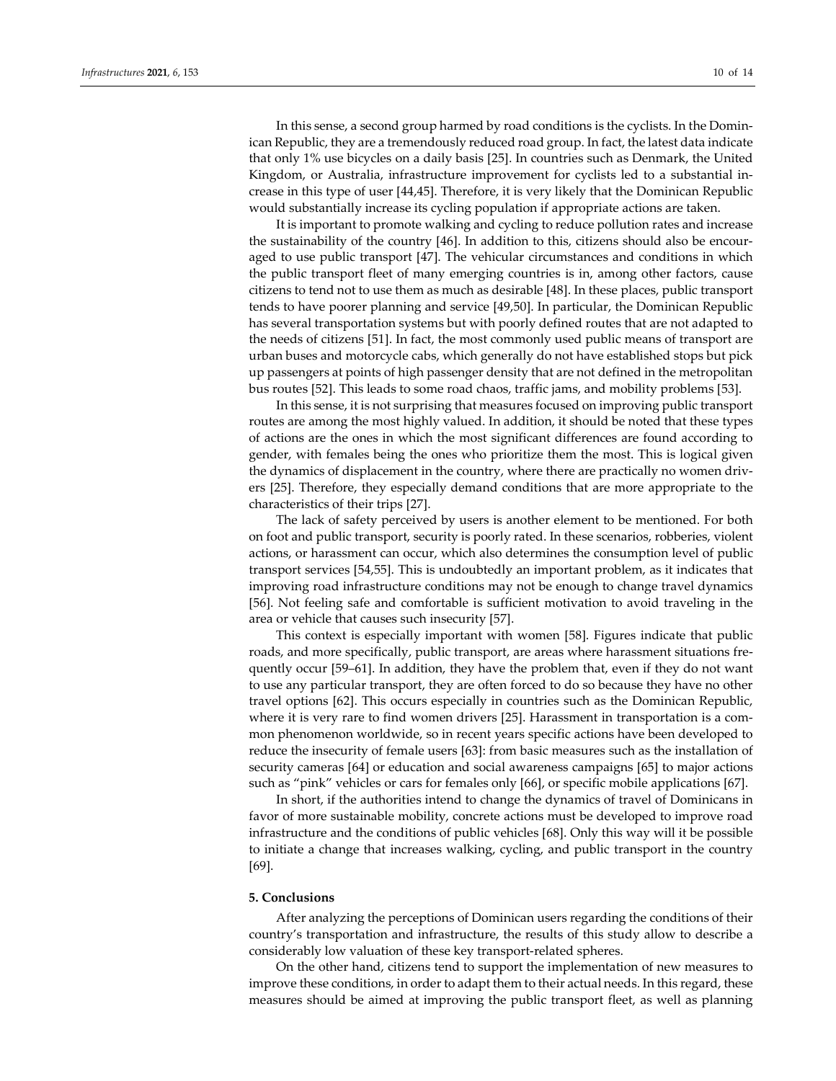In this sense, a second group harmed by road conditions is the cyclists. In the Dominican Republic, they are a tremendously reduced road group. In fact, the latest data indicate that only 1% use bicycles on a daily basis [25]. In countries such as Denmark, the United Kingdom, or Australia, infrastructure improvement for cyclists led to a substantial increase in this type of user [44,45]. Therefore, it is very likely that the Dominican Republic would substantially increase its cycling population if appropriate actions are taken.

It is important to promote walking and cycling to reduce pollution rates and increase the sustainability of the country [46]. In addition to this, citizens should also be encouraged to use public transport [47]. The vehicular circumstances and conditions in which the public transport fleet of many emerging countries is in, among other factors, cause citizens to tend not to use them as much as desirable [48]. In these places, public transport tends to have poorer planning and service [49,50]. In particular, the Dominican Republic has several transportation systems but with poorly defined routes that are not adapted to the needs of citizens [51]. In fact, the most commonly used public means of transport are urban buses and motorcycle cabs, which generally do not have established stops but pick up passengers at points of high passenger density that are not defined in the metropolitan bus routes [52]. This leads to some road chaos, traffic jams, and mobility problems [53].

In this sense, it is not surprising that measures focused on improving public transport routes are among the most highly valued. In addition, it should be noted that these types of actions are the ones in which the most significant differences are found according to gender, with females being the ones who prioritize them the most. This is logical given the dynamics of displacement in the country, where there are practically no women drivers [25]. Therefore, they especially demand conditions that are more appropriate to the characteristics of their trips [27].

The lack of safety perceived by users is another element to be mentioned. For both on foot and public transport, security is poorly rated. In these scenarios, robberies, violent actions, or harassment can occur, which also determines the consumption level of public transport services [54,55]. This is undoubtedly an important problem, as it indicates that improving road infrastructure conditions may not be enough to change travel dynamics [56]. Not feeling safe and comfortable is sufficient motivation to avoid traveling in the area or vehicle that causes such insecurity [57].

This context is especially important with women [58]. Figures indicate that public roads, and more specifically, public transport, are areas where harassment situations frequently occur [59–61]. In addition, they have the problem that, even if they do not want to use any particular transport, they are often forced to do so because they have no other travel options [62]. This occurs especially in countries such as the Dominican Republic, where it is very rare to find women drivers [25]. Harassment in transportation is a common phenomenon worldwide, so in recent years specific actions have been developed to reduce the insecurity of female users [63]: from basic measures such as the installation of security cameras [64] or education and social awareness campaigns [65] to major actions such as "pink" vehicles or cars for females only [66], or specific mobile applications [67].

In short, if the authorities intend to change the dynamics of travel of Dominicans in favor of more sustainable mobility, concrete actions must be developed to improve road infrastructure and the conditions of public vehicles [68]. Only this way will it be possible to initiate a change that increases walking, cycling, and public transport in the country [69].

#### **5. Conclusions**

After analyzing the perceptions of Dominican users regarding the conditions of their country's transportation and infrastructure, the results of this study allow to describe a considerably low valuation of these key transport-related spheres.

On the other hand, citizens tend to support the implementation of new measures to improve these conditions, in order to adapt them to their actual needs. In this regard, these measures should be aimed at improving the public transport fleet, as well as planning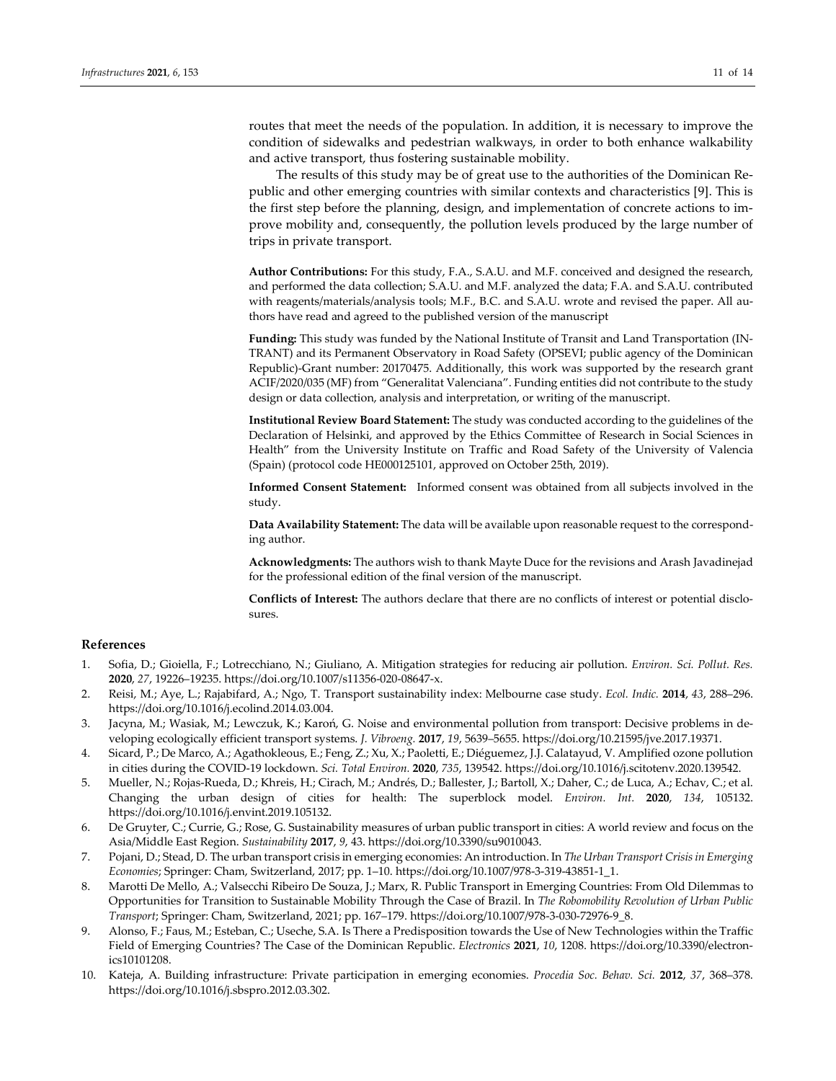routes that meet the needs of the population. In addition, it is necessary to improve the condition of sidewalks and pedestrian walkways, in order to both enhance walkability and active transport, thus fostering sustainable mobility.

The results of this study may be of great use to the authorities of the Dominican Republic and other emerging countries with similar contexts and characteristics [9]. This is the first step before the planning, design, and implementation of concrete actions to improve mobility and, consequently, the pollution levels produced by the large number of trips in private transport.

**Author Contributions:** For this study, F.A., S.A.U. and M.F. conceived and designed the research, and performed the data collection; S.A.U. and M.F. analyzed the data; F.A. and S.A.U. contributed with reagents/materials/analysis tools; M.F., B.C. and S.A.U. wrote and revised the paper. All authors have read and agreed to the published version of the manuscript

**Funding:** This study was funded by the National Institute of Transit and Land Transportation (IN-TRANT) and its Permanent Observatory in Road Safety (OPSEVI; public agency of the Dominican Republic)-Grant number: 20170475. Additionally, this work was supported by the research grant ACIF/2020/035 (MF) from "Generalitat Valenciana". Funding entities did not contribute to the study design or data collection, analysis and interpretation, or writing of the manuscript.

**Institutional Review Board Statement:** The study was conducted according to the guidelines of the Declaration of Helsinki, and approved by the Ethics Committee of Research in Social Sciences in Health" from the University Institute on Traffic and Road Safety of the University of Valencia (Spain) (protocol code HE000125101, approved on October 25th, 2019).

**Informed Consent Statement:** Informed consent was obtained from all subjects involved in the study.

**Data Availability Statement:** The data will be available upon reasonable request to the corresponding author.

**Acknowledgments:** The authors wish to thank Mayte Duce for the revisions and Arash Javadinejad for the professional edition of the final version of the manuscript.

**Conflicts of Interest:** The authors declare that there are no conflicts of interest or potential disclosures.

#### **References**

- 1. Sofia, D.; Gioiella, F.; Lotrecchiano, N.; Giuliano, A. Mitigation strategies for reducing air pollution. *Environ. Sci. Pollut. Res.*  **2020**, *27*, 19226–19235. https://doi.org/10.1007/s11356-020-08647-x.
- 2. Reisi, M.; Aye, L.; Rajabifard, A.; Ngo, T. Transport sustainability index: Melbourne case study. *Ecol. Indic.* **2014**, *43*, 288–296. https://doi.org/10.1016/j.ecolind.2014.03.004.
- 3. Jacyna, M.; Wasiak, M.; Lewczuk, K.; Karoń, G. Noise and environmental pollution from transport: Decisive problems in developing ecologically efficient transport systems. *J. Vibroeng.* **2017**, *19*, 5639–5655. https://doi.org/10.21595/jve.2017.19371.
- 4. Sicard, P.; De Marco, A.; Agathokleous, E.; Feng, Z.; Xu, X.; Paoletti, E.; Diéguemez, J.J. Calatayud, V. Amplified ozone pollution in cities during the COVID-19 lockdown. *Sci. Total Environ.* **2020**, *735*, 139542. https://doi.org/10.1016/j.scitotenv.2020.139542.
- 5. Mueller, N.; Rojas-Rueda, D.; Khreis, H.; Cirach, M.; Andrés, D.; Ballester, J.; Bartoll, X.; Daher, C.; de Luca, A.; Echav, C.; et al. Changing the urban design of cities for health: The superblock model. *Environ. Int.* **2020**, *134*, 105132. https://doi.org/10.1016/j.envint.2019.105132.
- 6. De Gruyter, C.; Currie, G.; Rose, G. Sustainability measures of urban public transport in cities: A world review and focus on the Asia/Middle East Region. *Sustainability* **2017**, *9*, 43. https://doi.org/10.3390/su9010043.
- 7. Pojani, D.; Stead, D. The urban transport crisis in emerging economies: An introduction. In *The Urban Transport Crisis in Emerging Economies*; Springer: Cham, Switzerland, 2017; pp. 1–10. https://doi.org/10.1007/978-3-319-43851-1\_1.
- 8. Marotti De Mello, A.; Valsecchi Ribeiro De Souza, J.; Marx, R. Public Transport in Emerging Countries: From Old Dilemmas to Opportunities for Transition to Sustainable Mobility Through the Case of Brazil. In *The Robomobility Revolution of Urban Public Transport*; Springer: Cham, Switzerland, 2021; pp. 167–179. https://doi.org/10.1007/978-3-030-72976-9\_8.
- 9. Alonso, F.; Faus, M.; Esteban, C.; Useche, S.A. Is There a Predisposition towards the Use of New Technologies within the Traffic Field of Emerging Countries? The Case of the Dominican Republic. *Electronics* **2021**, *10*, 1208. https://doi.org/10.3390/electronics10101208.
- 10. Kateja, A. Building infrastructure: Private participation in emerging economies. *Procedia Soc. Behav. Sci.* **2012**, *37*, 368–378. https://doi.org/10.1016/j.sbspro.2012.03.302.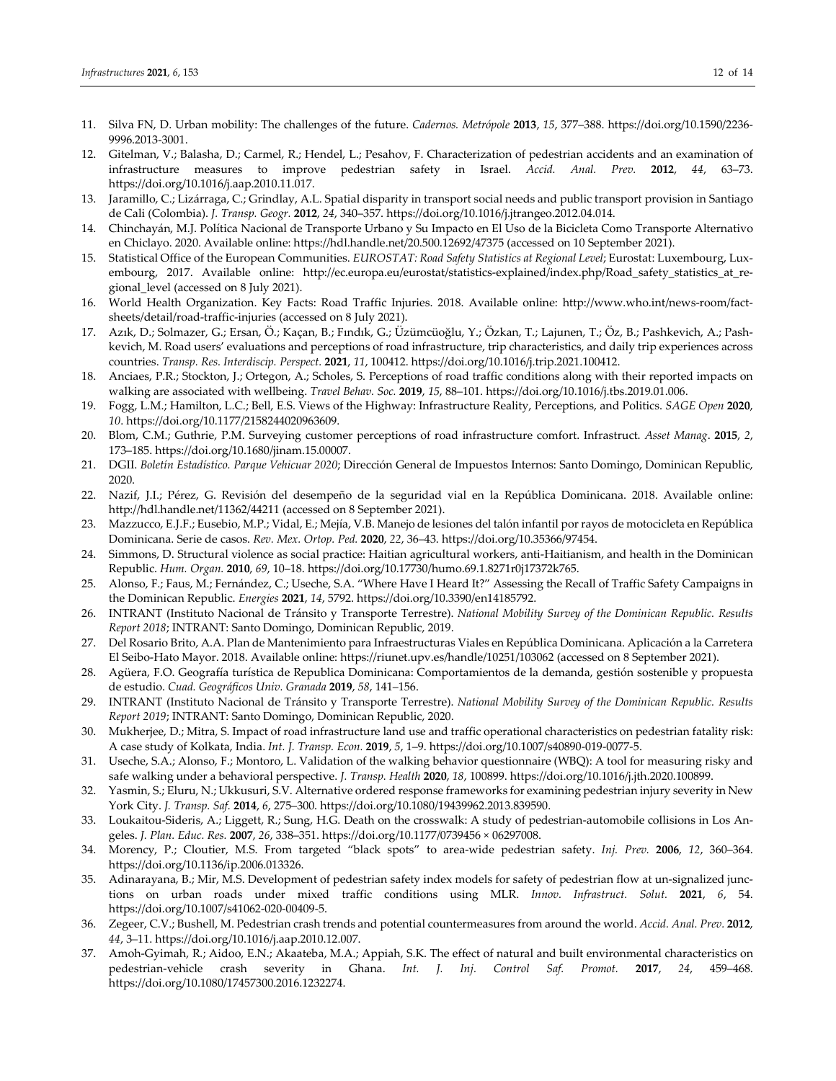- 11. Silva FN, D. Urban mobility: The challenges of the future. *Cadernos. Metrópole* **2013**, *15*, 377–388. https://doi.org/10.1590/2236- 9996.2013-3001.
- 12. Gitelman, V.; Balasha, D.; Carmel, R.; Hendel, L.; Pesahov, F. Characterization of pedestrian accidents and an examination of infrastructure measures to improve pedestrian safety in Israel. *Accid. Anal. Prev.* **2012**, *44*, 63–73. https://doi.org/10.1016/j.aap.2010.11.017.
- 13. Jaramillo, C.; Lizárraga, C.; Grindlay, A.L. Spatial disparity in transport social needs and public transport provision in Santiago de Cali (Colombia). *J. Transp. Geogr.* **2012**, *24*, 340–357. https://doi.org/10.1016/j.jtrangeo.2012.04.014.
- 14. Chinchayán, M.J. Política Nacional de Transporte Urbano y Su Impacto en El Uso de la Bicicleta Como Transporte Alternativo en Chiclayo. 2020. Available online: https://hdl.handle.net/20.500.12692/47375 (accessed on 10 September 2021).
- 15. Statistical Office of the European Communities. *EUROSTAT: Road Safety Statistics at Regional Level*; Eurostat: Luxembourg, Luxembourg, 2017. Available online: http://ec.europa.eu/eurostat/statistics-explained/index.php/Road\_safety\_statistics\_at\_regional\_level (accessed on 8 July 2021).
- 16. World Health Organization. Key Facts: Road Traffic Injuries. 2018. Available online: http://www.who.int/news-room/factsheets/detail/road-traffic-injuries (accessed on 8 July 2021).
- 17. Azık, D.; Solmazer, G.; Ersan, Ö.; Kaçan, B.; Fındık, G.; Üzümcüoğlu, Y.; Özkan, T.; Lajunen, T.; Öz, B.; Pashkevich, A.; Pashkevich, M. Road users' evaluations and perceptions of road infrastructure, trip characteristics, and daily trip experiences across countries. *Transp. Res. Interdiscip. Perspect.* **2021**, *11*, 100412. https://doi.org/10.1016/j.trip.2021.100412.
- 18. Anciaes, P.R.; Stockton, J.; Ortegon, A.; Scholes, S. Perceptions of road traffic conditions along with their reported impacts on walking are associated with wellbeing. *Travel Behav. Soc.* **2019**, *15*, 88–101. https://doi.org/10.1016/j.tbs.2019.01.006.
- 19. Fogg, L.M.; Hamilton, L.C.; Bell, E.S. Views of the Highway: Infrastructure Reality, Perceptions, and Politics. *SAGE Open* **2020**, *10*. https://doi.org/10.1177/2158244020963609.
- 20. Blom, C.M.; Guthrie, P.M. Surveying customer perceptions of road infrastructure comfort. Infrastruct. *Asset Manag*. **2015**, *2*, 173–185. https://doi.org/10.1680/jinam.15.00007.
- 21. DGII. *Boletín Estadístico. Parque Vehicuar 2020*; Dirección General de Impuestos Internos: Santo Domingo, Dominican Republic, 2020.
- 22. Nazif, J.I.; Pérez, G. Revisión del desempeño de la seguridad vial en la República Dominicana. 2018. Available online: http://hdl.handle.net/11362/44211 (accessed on 8 September 2021).
- 23. Mazzucco, E.J.F.; Eusebio, M.P.; Vidal, E.; Mejía, V.B. Manejo de lesiones del talón infantil por rayos de motocicleta en República Dominicana. Serie de casos. *Rev. Mex. Ortop. Ped.* **2020**, *22*, 36–43. https://doi.org/10.35366/97454.
- 24. Simmons, D. Structural violence as social practice: Haitian agricultural workers, anti-Haitianism, and health in the Dominican Republic. *Hum. Organ.* **2010**, *69*, 10–18. https://doi.org/10.17730/humo.69.1.8271r0j17372k765.
- 25. Alonso, F.; Faus, M.; Fernández, C.; Useche, S.A. "Where Have I Heard It?" Assessing the Recall of Traffic Safety Campaigns in the Dominican Republic. *Energies* **2021**, *14*, 5792. https://doi.org/10.3390/en14185792.
- 26. INTRANT (Instituto Nacional de Tránsito y Transporte Terrestre). *National Mobility Survey of the Dominican Republic. Results Report 2018*; INTRANT: Santo Domingo, Dominican Republic, 2019.
- 27. Del Rosario Brito, A.A. Plan de Mantenimiento para Infraestructuras Viales en República Dominicana. Aplicación a la Carretera El Seibo-Hato Mayor. 2018. Available online: https://riunet.upv.es/handle/10251/103062 (accessed on 8 September 2021).
- 28. Agüera, F.O. Geografía turística de Republica Dominicana: Comportamientos de la demanda, gestión sostenible y propuesta de estudio. *Cuad. Geográficos Univ. Granada* **2019**, *58*, 141–156.
- 29. INTRANT (Instituto Nacional de Tránsito y Transporte Terrestre). *National Mobility Survey of the Dominican Republic. Results Report 2019*; INTRANT: Santo Domingo, Dominican Republic, 2020.
- 30. Mukherjee, D.; Mitra, S. Impact of road infrastructure land use and traffic operational characteristics on pedestrian fatality risk: A case study of Kolkata, India. *Int. J. Transp. Econ.* **2019**, *5*, 1–9. https://doi.org/10.1007/s40890-019-0077-5.
- 31. Useche, S.A.; Alonso, F.; Montoro, L. Validation of the walking behavior questionnaire (WBQ): A tool for measuring risky and safe walking under a behavioral perspective. *J. Transp. Health* **2020**, *18*, 100899. https://doi.org/10.1016/j.jth.2020.100899.
- 32. Yasmin, S.; Eluru, N.; Ukkusuri, S.V. Alternative ordered response frameworks for examining pedestrian injury severity in New York City. *J. Transp. Saf.* **2014**, *6*, 275–300. https://doi.org/10.1080/19439962.2013.839590.
- 33. Loukaitou-Sideris, A.; Liggett, R.; Sung, H.G. Death on the crosswalk: A study of pedestrian-automobile collisions in Los Angeles. *J. Plan. Educ. Res.* **2007**, *26*, 338–351. https://doi.org/10.1177/0739456 × 06297008.
- 34. Morency, P.; Cloutier, M.S. From targeted "black spots" to area-wide pedestrian safety. *Inj. Prev.* **2006**, *12*, 360–364. https://doi.org/10.1136/ip.2006.013326.
- 35. Adinarayana, B.; Mir, M.S. Development of pedestrian safety index models for safety of pedestrian flow at un-signalized junctions on urban roads under mixed traffic conditions using MLR. *Innov. Infrastruct. Solut.* **2021**, *6*, 54. https://doi.org/10.1007/s41062-020-00409-5.
- 36. Zegeer, C.V.; Bushell, M. Pedestrian crash trends and potential countermeasures from around the world. *Accid. Anal. Prev.* **2012**, *44*, 3–11. https://doi.org/10.1016/j.aap.2010.12.007.
- 37. Amoh-Gyimah, R.; Aidoo, E.N.; Akaateba, M.A.; Appiah, S.K. The effect of natural and built environmental characteristics on pedestrian-vehicle crash severity in Ghana. *Int. J. Inj. Control Saf. Promot.* **2017**, *24*, 459–468. https://doi.org/10.1080/17457300.2016.1232274.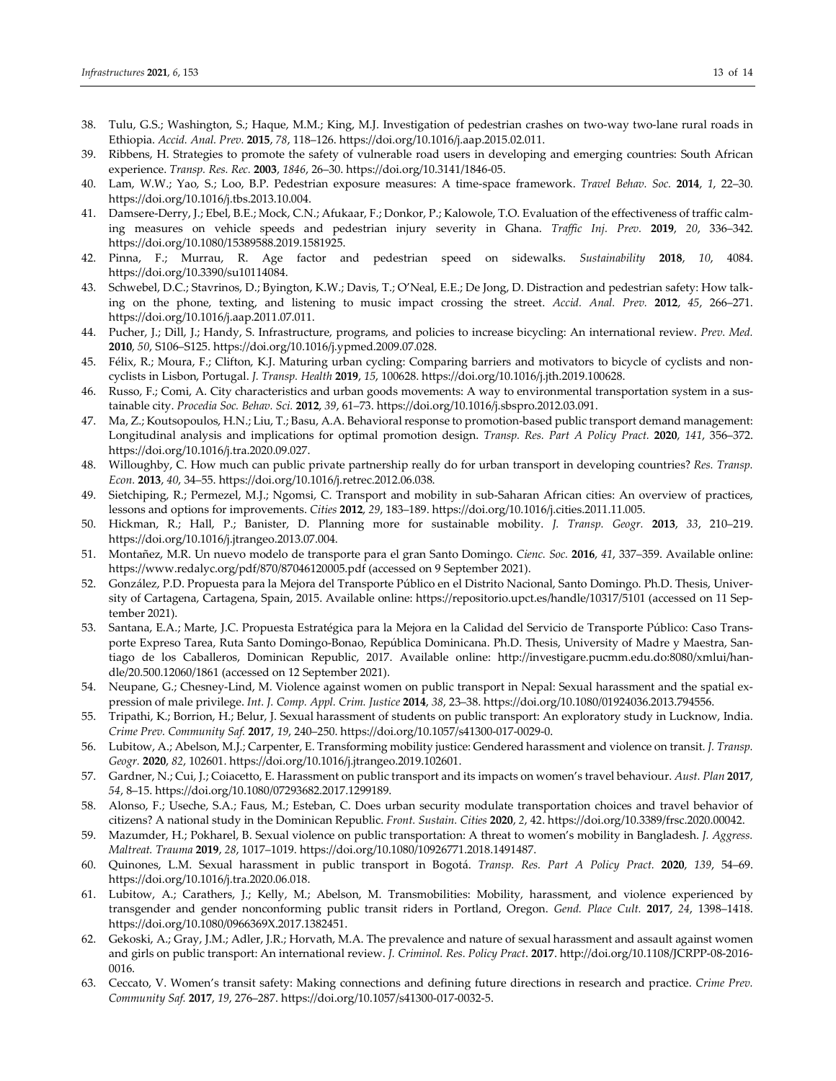- 38. Tulu, G.S.; Washington, S.; Haque, M.M.; King, M.J. Investigation of pedestrian crashes on two-way two-lane rural roads in Ethiopia. *Accid. Anal. Prev.* **2015**, *78*, 118–126. https://doi.org/10.1016/j.aap.2015.02.011.
- 39. Ribbens, H. Strategies to promote the safety of vulnerable road users in developing and emerging countries: South African experience. *Transp. Res. Rec.* **2003**, *1846*, 26–30. https://doi.org/10.3141/1846-05.
- 40. Lam, W.W.; Yao, S.; Loo, B.P. Pedestrian exposure measures: A time-space framework. *Travel Behav. Soc.* **2014**, *1*, 22–30. https://doi.org/10.1016/j.tbs.2013.10.004.
- 41. Damsere-Derry, J.; Ebel, B.E.; Mock, C.N.; Afukaar, F.; Donkor, P.; Kalowole, T.O. Evaluation of the effectiveness of traffic calming measures on vehicle speeds and pedestrian injury severity in Ghana. *Traffic Inj. Prev.* **2019**, *20*, 336–342. https://doi.org/10.1080/15389588.2019.1581925.
- 42. Pinna, F.; Murrau, R. Age factor and pedestrian speed on sidewalks. *Sustainability* **2018**, *10*, 4084. https://doi.org/10.3390/su10114084.
- 43. Schwebel, D.C.; Stavrinos, D.; Byington, K.W.; Davis, T.; O'Neal, E.E.; De Jong, D. Distraction and pedestrian safety: How talking on the phone, texting, and listening to music impact crossing the street. *Accid. Anal. Prev.* **2012**, *45*, 266–271. https://doi.org/10.1016/j.aap.2011.07.011.
- 44. Pucher, J.; Dill, J.; Handy, S. Infrastructure, programs, and policies to increase bicycling: An international review. *Prev. Med.* **2010**, *50*, S106–S125. https://doi.org/10.1016/j.ypmed.2009.07.028.
- 45. Félix, R.; Moura, F.; Clifton, K.J. Maturing urban cycling: Comparing barriers and motivators to bicycle of cyclists and noncyclists in Lisbon, Portugal. *J. Transp. Health* **2019**, *15*, 100628. https://doi.org/10.1016/j.jth.2019.100628.
- 46. Russo, F.; Comi, A. City characteristics and urban goods movements: A way to environmental transportation system in a sustainable city. *Procedia Soc. Behav. Sci.* **2012**, *39*, 61–73. https://doi.org/10.1016/j.sbspro.2012.03.091.
- 47. Ma, Z.; Koutsopoulos, H.N.; Liu, T.; Basu, A.A. Behavioral response to promotion-based public transport demand management: Longitudinal analysis and implications for optimal promotion design. *Transp. Res. Part A Policy Pract.* **2020**, *141*, 356–372. https://doi.org/10.1016/j.tra.2020.09.027.
- 48. Willoughby, C. How much can public private partnership really do for urban transport in developing countries? *Res. Transp. Econ.* **2013**, *40*, 34–55. https://doi.org/10.1016/j.retrec.2012.06.038.
- 49. Sietchiping, R.; Permezel, M.J.; Ngomsi, C. Transport and mobility in sub-Saharan African cities: An overview of practices, lessons and options for improvements. *Cities* **2012**, *29*, 183–189. https://doi.org/10.1016/j.cities.2011.11.005.
- 50. Hickman, R.; Hall, P.; Banister, D. Planning more for sustainable mobility. *J. Transp. Geogr.* **2013**, *33*, 210–219. https://doi.org/10.1016/j.jtrangeo.2013.07.004.
- 51. Montañez, M.R. Un nuevo modelo de transporte para el gran Santo Domingo. *Cienc. Soc.* **2016**, *41*, 337–359. Available online: https://www.redalyc.org/pdf/870/87046120005.pdf (accessed on 9 September 2021).
- 52. González, P.D. Propuesta para la Mejora del Transporte Público en el Distrito Nacional, Santo Domingo. Ph.D. Thesis, University of Cartagena, Cartagena, Spain, 2015. Available online: https://repositorio.upct.es/handle/10317/5101 (accessed on 11 September 2021).
- 53. Santana, E.A.; Marte, J.C. Propuesta Estratégica para la Mejora en la Calidad del Servicio de Transporte Público: Caso Transporte Expreso Tarea, Ruta Santo Domingo-Bonao, República Dominicana. Ph.D. Thesis, University of Madre y Maestra, Santiago de los Caballeros, Dominican Republic, 2017. Available online: http://investigare.pucmm.edu.do:8080/xmlui/handle/20.500.12060/1861 (accessed on 12 September 2021).
- 54. Neupane, G.; Chesney-Lind, M. Violence against women on public transport in Nepal: Sexual harassment and the spatial expression of male privilege. *Int. J. Comp. Appl. Crim. Justice* **2014**, *38*, 23–38. https://doi.org/10.1080/01924036.2013.794556.
- 55. Tripathi, K.; Borrion, H.; Belur, J. Sexual harassment of students on public transport: An exploratory study in Lucknow, India. *Crime Prev. Community Saf.* **2017**, *19*, 240–250. https://doi.org/10.1057/s41300-017-0029-0.
- 56. Lubitow, A.; Abelson, M.J.; Carpenter, E. Transforming mobility justice: Gendered harassment and violence on transit. *J. Transp. Geogr.* **2020**, *82*, 102601. https://doi.org/10.1016/j.jtrangeo.2019.102601.
- 57. Gardner, N.; Cui, J.; Coiacetto, E. Harassment on public transport and its impacts on women's travel behaviour. *Aust. Plan* **2017**, *54*, 8–15. https://doi.org/10.1080/07293682.2017.1299189.
- 58. Alonso, F.; Useche, S.A.; Faus, M.; Esteban, C. Does urban security modulate transportation choices and travel behavior of citizens? A national study in the Dominican Republic. *Front. Sustain. Cities* **2020**, *2*, 42. https://doi.org/10.3389/frsc.2020.00042.
- 59. Mazumder, H.; Pokharel, B. Sexual violence on public transportation: A threat to women's mobility in Bangladesh. *J. Aggress. Maltreat. Trauma* **2019**, *28*, 1017–1019. https://doi.org/10.1080/10926771.2018.1491487.
- 60. Quinones, L.M. Sexual harassment in public transport in Bogotá. *Transp. Res. Part A Policy Pract.* **2020**, *139*, 54–69. https://doi.org/10.1016/j.tra.2020.06.018.
- 61. Lubitow, A.; Carathers, J.; Kelly, M.; Abelson, M. Transmobilities: Mobility, harassment, and violence experienced by transgender and gender nonconforming public transit riders in Portland, Oregon. *Gend. Place Cult.* **2017**, *24*, 1398–1418. https://doi.org/10.1080/0966369X.2017.1382451.
- 62. Gekoski, A.; Gray, J.M.; Adler, J.R.; Horvath, M.A. The prevalence and nature of sexual harassment and assault against women and girls on public transport: An international review. *J. Criminol. Res. Policy Pract*. **2017**. http://doi.org/10.1108/JCRPP-08-2016- 0016.
- 63. Ceccato, V. Women's transit safety: Making connections and defining future directions in research and practice. *Crime Prev. Community Saf.* **2017**, *19*, 276–287. https://doi.org/10.1057/s41300-017-0032-5.